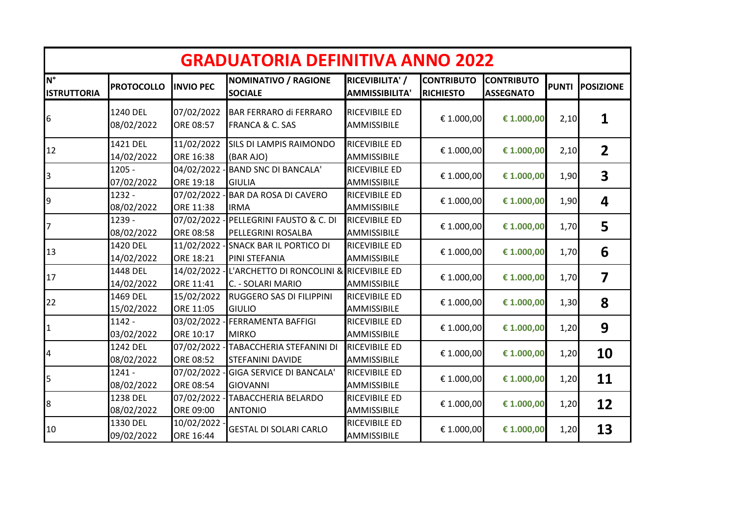| <b>GRADUATORIA DEFINITIVA ANNO 2022</b>               |                        |                           |                                                              |                                            |                                       |                                       |              |                         |  |  |  |  |
|-------------------------------------------------------|------------------------|---------------------------|--------------------------------------------------------------|--------------------------------------------|---------------------------------------|---------------------------------------|--------------|-------------------------|--|--|--|--|
| $\overline{\mathsf{N}^{\circ}}$<br><b>ISTRUTTORIA</b> | <b>PROTOCOLLO</b>      | <b>INVIO PEC</b>          | <b>NOMINATIVO / RAGIONE</b><br><b>SOCIALE</b>                | RICEVIBILITA' /<br><b>AMMISSIBILITA'</b>   | <b>CONTRIBUTO</b><br><b>RICHIESTO</b> | <b>CONTRIBUTO</b><br><b>ASSEGNATO</b> | <b>PUNTI</b> | <b>POSIZIONE</b>        |  |  |  |  |
| 6                                                     | 1240 DEL<br>08/02/2022 | 07/02/2022<br>ORE 08:57   | <b>BAR FERRARO di FERRARO</b><br><b>FRANCA &amp; C. SAS</b>  | <b>RICEVIBILE ED</b><br>AMMISSIBILE        | € 1.000,00                            | € 1.000,00                            | 2,10         | 1                       |  |  |  |  |
| 12                                                    | 1421 DEL<br>14/02/2022 | 11/02/2022<br>ORE 16:38   | SILS DI LAMPIS RAIMONDO<br>(BAR AJO)                         | <b>RICEVIBILE ED</b><br>AMMISSIBILE        | € 1.000,00                            | € 1.000,00                            | 2,10         | $\overline{2}$          |  |  |  |  |
| 3                                                     | $1205 -$<br>07/02/2022 | 04/02/2022 -<br>ORE 19:18 | <b>BAND SNC DI BANCALA'</b><br><b>GIULIA</b>                 | RICEVIBILE ED<br>AMMISSIBILE               | € 1.000,00                            | € 1.000,00                            | 1,90         | 3                       |  |  |  |  |
| 9                                                     | 1232 -<br>08/02/2022   | 07/02/2022<br>ORE 11:38   | <b>BAR DA ROSA DI CAVERO</b><br><b>IRMA</b>                  | <b>RICEVIBILE ED</b><br>AMMISSIBILE        | € 1.000,00                            | € 1.000,00                            | 1,90         | 4                       |  |  |  |  |
| 7                                                     | 1239 -<br>08/02/2022   | 07/02/2022 -<br>ORE 08:58 | PELLEGRINI FAUSTO & C. DI<br>PELLEGRINI ROSALBA              | <b>RICEVIBILE ED</b><br><b>AMMISSIBILE</b> | € 1.000,00                            | € 1.000,00                            | 1,70         | 5                       |  |  |  |  |
| 13                                                    | 1420 DEL<br>14/02/2022 | 11/02/2022<br>ORE 18:21   | <b>SNACK BAR IL PORTICO DI</b><br>PINI STEFANIA              | <b>RICEVIBILE ED</b><br><b>AMMISSIBILE</b> | € 1.000,00                            | € 1.000,00                            | 1,70         | 6                       |  |  |  |  |
| 17                                                    | 1448 DEL<br>14/02/2022 | 14/02/2022<br>ORE 11:41   | L'ARCHETTO DI RONCOLINI & RICEVIBILE ED<br>C. - SOLARI MARIO | <b>AMMISSIBILE</b>                         | € 1.000,00                            | € 1.000,00                            | 1,70         | $\overline{\mathbf{z}}$ |  |  |  |  |
| 22                                                    | 1469 DEL<br>15/02/2022 | 15/02/2022<br>ORE 11:05   | RUGGERO SAS DI FILIPPINI<br><b>GIULIO</b>                    | <b>RICEVIBILE ED</b><br>AMMISSIBILE        | € 1.000,00                            | € 1.000,00                            | 1,30         | 8                       |  |  |  |  |
| 1                                                     | $1142 -$<br>03/02/2022 | 03/02/2022 -<br>ORE 10:17 | <b>FERRAMENTA BAFFIGI</b><br><b>MIRKO</b>                    | <b>RICEVIBILE ED</b><br>AMMISSIBILE        | € 1.000,00                            | € 1.000,00                            | 1,20         | 9                       |  |  |  |  |
| 4                                                     | 1242 DEL<br>08/02/2022 | 07/02/2022 -<br>ORE 08:52 | <b>TABACCHERIA STEFANINI DI</b><br><b>STEFANINI DAVIDE</b>   | <b>RICEVIBILE ED</b><br><b>AMMISSIBILE</b> | € 1.000,00                            | € 1.000,00                            | 1,20         | 10                      |  |  |  |  |
| 5                                                     | $1241 -$<br>08/02/2022 | 07/02/2022<br>ORE 08:54   | <b>GIGA SERVICE DI BANCALA'</b><br><b>GIOVANNI</b>           | <b>RICEVIBILE ED</b><br><b>AMMISSIBILE</b> | € 1.000,00                            | € 1.000,00                            | 1,20         | 11                      |  |  |  |  |
| 8                                                     | 1238 DEL<br>08/02/2022 | 07/02/2022<br>ORE 09:00   | TABACCHERIA BELARDO<br><b>ANTONIO</b>                        | <b>RICEVIBILE ED</b><br>AMMISSIBILE        | € 1.000,00                            | € 1.000,00                            | 1,20         | 12                      |  |  |  |  |
| 10                                                    | 1330 DEL<br>09/02/2022 | 10/02/2022<br>ORE 16:44   | <b>GESTAL DI SOLARI CARLO</b>                                | RICEVIBILE ED<br>AMMISSIBILE               | € 1.000,00                            | € 1.000,00                            | 1,20         | 13                      |  |  |  |  |